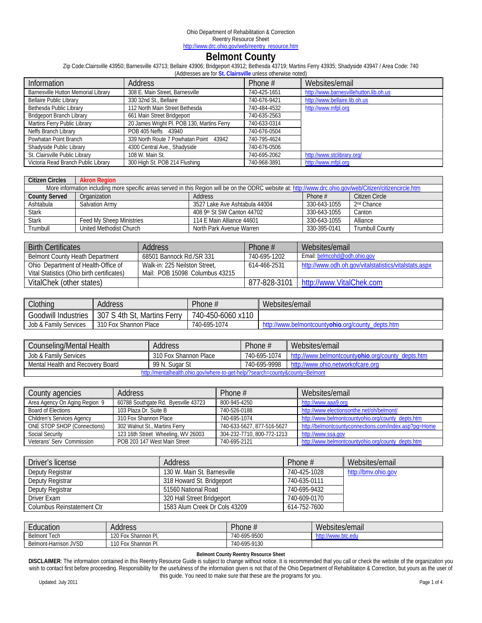# **Belmont County**

Zip Code:Clairsville 43950; Barnesville 43713; Bellaire 43906; Bridgeport 43912; Bethesda 43719; Martins Ferry 43935; Shadyside 43947 / Area Code: 740

| (Addresses are for St. Clairsville unless otherwise noted) |                                            |              |                                        |  |
|------------------------------------------------------------|--------------------------------------------|--------------|----------------------------------------|--|
| Information                                                | <b>Address</b>                             | Phone $#$    | Websites/email                         |  |
| Barnesville Hutton Memorial Library                        | 308 E. Main Street, Barnesville            | 740-425-1651 | http://www.barnesvillehutton.lib.oh.us |  |
| <b>Bellaire Public Library</b>                             | 330 32nd St., Bellaire                     | 740-676-9421 | http://www.bellaire.lib.oh.us          |  |
| Bethesda Public Library                                    | 112 North Main Street Bethesda             | 740-484-4532 | http://www.mfpl.org                    |  |
| <b>Bridgeport Branch Library</b>                           | 661 Main Street Bridgeport                 | 740-635-2563 |                                        |  |
| Martins Ferry Public Library                               | 20 James Wright Pl. POB 130, Martins Ferry | 740-633-0314 |                                        |  |
| Neffs Branch Library                                       | POB 405 Neffs 43940                        | 740-676-0504 |                                        |  |
| Powhatan Point Branch                                      | 339 North Route 7 Powhatan Point 43942     | 740-795-4624 |                                        |  |
| Shadyside Public Library                                   | 4300 Central Ave., Shadyside               | 740-676-0506 |                                        |  |
| St. Clairsville Public Library                             | 108 W. Main St.                            | 740-695-2062 | http://www.stclibrary.org/             |  |
| Victoria Read Branch Public Library                        | 300 High St. POB 214 Flushing              | 740-968-3891 | http://www.mfpl.org                    |  |

| <b>Citizen Circles</b> | <b>Akron Region</b>                                                                                                                                        |                               |              |                        |  |  |  |
|------------------------|------------------------------------------------------------------------------------------------------------------------------------------------------------|-------------------------------|--------------|------------------------|--|--|--|
|                        | More information including more specific areas served in this Region will be on the ODRC website at: http://www.drc.ohio.gov/web/Citizen/citizencircle.htm |                               |              |                        |  |  |  |
| <b>County Served</b>   | Organization                                                                                                                                               | Address                       | Phone $#$    | Citizen Circle         |  |  |  |
| Ashtabula              | <b>Salvation Army</b>                                                                                                                                      | 3527 Lake Ave Ashtabula 44004 | 330-643-1055 | 2 <sup>nd</sup> Chance |  |  |  |
| <b>Stark</b>           |                                                                                                                                                            | 408 9th St SW Canton 44702    | 330-643-1055 | Canton                 |  |  |  |
| <b>Stark</b>           | Feed My Sheep Ministries                                                                                                                                   | 114 E Main Alliance 44601     | 330-643-1055 | Alliance               |  |  |  |
| Trumbull               | United Methodist Church                                                                                                                                    | North Park Avenue Warren      | 330-395-0141 | <b>Trumbull County</b> |  |  |  |

| <b>Birth Certificates</b>                  | Address                        | Phone $#$    | Websites/email                                        |
|--------------------------------------------|--------------------------------|--------------|-------------------------------------------------------|
| <b>Belmont County Heath Department</b>     | 68501 Bannock Rd./SR 331       | 740-695-1202 | Email: belmcohd@odh.ohio.gov                          |
| Ohio Department of Health-Office of        | Walk-in: 225 Neilston Street.  | 614-466-2531 | http://www.odh.oh.gov/vitalstatistics/vitalstats.aspx |
| Vital Statistics (Ohio birth certificates) | Mail: POB 15098 Columbus 43215 |              |                                                       |
| VitalChek (other states)                   |                                |              | 877-828-3101   http://www.VitalChek.com               |

| Clothing                   | Address                         | Phone #           | Websites/email                                          |
|----------------------------|---------------------------------|-------------------|---------------------------------------------------------|
| <b>Goodwill Industries</b> | 'S 4th St, Martins Ferry<br>307 | 740-450-6060 x110 |                                                         |
| Job & Family Services      | 310 Fox Shannon Place           | 740-695-1074      | x://www.belmontcounty <b>ohio</b> .org/county_depts.htm |

| Counseling/Mental Health                                                                                | <b>Address</b>        | Phone #      | Websites/email                                    |  |
|---------------------------------------------------------------------------------------------------------|-----------------------|--------------|---------------------------------------------------|--|
| Job & Family Services                                                                                   | 310 Fox Shannon Place | 740-695-1074 | http://www.belmontcountyohio.org/county depts.htm |  |
| 740-695-9998<br>Mental Health and Recovery Board<br>99 N. Sugar St<br>http://www.ohio.networkofcare.orc |                       |              |                                                   |  |
| http://mentalhealth.ohio.gov/where-to-get-help/?search=county&county=Belmont                            |                       |              |                                                   |  |

| County agencies                    | Address                             | Phone $#$                  | Websites/email                                        |
|------------------------------------|-------------------------------------|----------------------------|-------------------------------------------------------|
| Area Agency On Aging Region 9      | 60788 Southgate Rd. Byesville 43723 | 800-945-4250               | http://www.aaa9.org                                   |
| Board of Elections                 | 103 Plaza Dr. Suite B               | 740-526-0188               | http://www.electionsonthe.net/oh/belmont/             |
| <b>Children's Services Agency</b>  | 310 Fox Shannon Place               | 740-695-1074               | http://www.belmontcountyohio.org/county_depts.htm     |
| <b>ONE STOP SHOP (Connections)</b> | 302 Walnut St., Martins Ferry       | 740-633-5627, 877-516-5627 | http://belmontcountyconnections.com/index.asp?pq=Home |
| <b>Social Security</b>             | 123 16th Street Wheeling, WV 26003  | 304-232-7710, 800-772-1213 | http://www.ssa.gov                                    |
| Veterans' Serv Commission          | POB 203 147 West Main Street        | 740-695-2121               | http://www.belmontcountyohio.org/county_depts.htm     |

| Driver's license           | Address                       | Phone $#$    | Websites/email      |
|----------------------------|-------------------------------|--------------|---------------------|
| Deputy Registrar           | 130 W. Main St. Barnesville   | 740-425-1028 | http://bmv.ohio.gov |
| Deputy Registrar           | 318 Howard St. Bridgeport     | 740-635-0111 |                     |
| Deputy Registrar           | 51560 National Road           | 740-695-9432 |                     |
| Driver Exam                | 320 Hall Street Bridgeport    | 740-609-0170 |                     |
| Columbus Reinstatement Ctr | 1583 Alum Creek Dr Cols 43209 | 614-752-7600 |                     |

| $\overline{\phantom{0}}$<br>Education | Address                                      | Phone.       | We<br>ebsites/email<br>$\sim$ |
|---------------------------------------|----------------------------------------------|--------------|-------------------------------|
| Tech<br>Belmont                       | 120 <sub>1</sub><br>: Shannon Pl.<br>∕ FOX ' | 740-695-9500 | http://www.btc.edu            |
| Belmont-Harrison JVSD                 | 110 F<br>Shannon Pl.<br>, Fox                | 740-695-9130 |                               |

#### **Belmont County Reentry Resource Sheet**

**DISCLAIMER**: The information contained in this Reentry Resource Guide is subject to change without notice. It is recommended that you call or check the website of the organization you wish to contact first before proceeding. Responsibility for the usefulness of the information given is not that of the Ohio Department of Rehabilitation & Correction, but yours as the user of this guide. You need to make sure that these are the programs for you.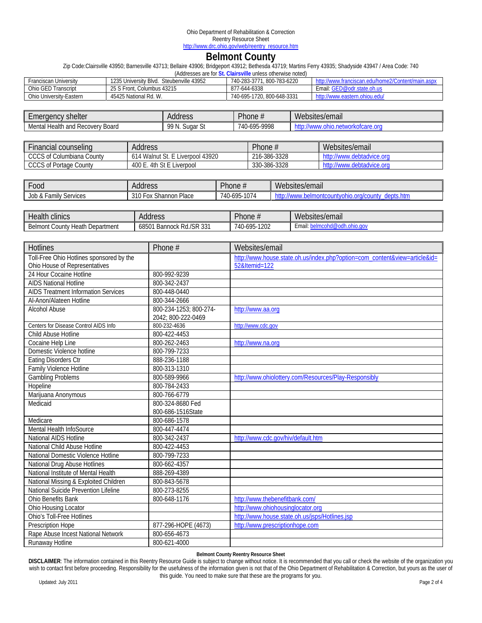# **Belmont County**

Zip Code:Clairsville 43950; Barnesville 43713; Bellaire 43906; Bridgeport 43912; Bethesda 43719; Martins Ferry 43935; Shadyside 43947 / Area Code: 740

| (Addresses are for St. Clairsville unless otherwise noted)                                                                           |                            |                            |                               |  |  |
|--------------------------------------------------------------------------------------------------------------------------------------|----------------------------|----------------------------|-------------------------------|--|--|
| 1235 University Blvd.<br>Steubenville 43952<br>740-283-3771, 800-783-6220<br>Franciscan Universitv<br>tranciscan.edu/home2/Content/n |                            |                            |                               |  |  |
| Ohio GED Transcript                                                                                                                  | 25 S Front, Columbus 43215 | 877-644-6338               | Email: GED@odr.state.oh.us    |  |  |
| Ohio University-Eastern                                                                                                              | 45425 National Rd. W.      | 740-695-1720, 800-648-3331 | http://www.eastern.ohiou.edu/ |  |  |

| shelter<br>meraencv.                                  | Address                                 | $\overline{\phantom{0}}$<br>Phone $\pi$                     | Websites/email              |
|-------------------------------------------------------|-----------------------------------------|-------------------------------------------------------------|-----------------------------|
| . .<br>Health<br>-<br>and<br>Recovery Board<br>Mental | 00 N<br>$\sim$<br>∽<br>Sugar<br>$\cdot$ | -9998<br>/40<br><b>AOR</b><br>$\overline{\phantom{a}}$<br>u | ∍or<br>nu<br>ОΙС<br>าเ<br>. |

| Financial counseling             | <b>Address</b>                   | Phone #      | Websites/email            |
|----------------------------------|----------------------------------|--------------|---------------------------|
| <b>CCCS of Columbiana County</b> | 614 Walnut St. E Liverpool 43920 | 216-386-3328 | http://www.debtadvice.org |
| <b>CCCS of Portage County</b>    | 400 E.<br>4th St E Liverpool     | 330-386-3328 | http://www.debtadvice.org |

| 00d -                                                    | Address                                          | Phone#                | Websites/email                                      |
|----------------------------------------------------------|--------------------------------------------------|-----------------------|-----------------------------------------------------|
| . <sub>r</sub> amilv <sup>e</sup><br>Services<br>Job & F | 310 F<br>n Place<br>$\sim$<br>Fox<br>: Shannon I | $3 - 1074$<br>740-695 | depts.htm<br>, www.belmontcountyohio.org<br>. illu- |

| Health<br>clinics                                    | Address                             | Phone $\overline{h}$ | Websites/email |
|------------------------------------------------------|-------------------------------------|----------------------|----------------|
| Belmont<br>'Jepartment<br>' ountyٽ<br>: Heath Depart | Bannock Rd./SR 331<br>68501<br>vuuv | $-1202$<br>740-695   | ∶mai<br>w      |

| <b>Hotlines</b>                            | Phone #                                      | Websites/email                                                             |
|--------------------------------------------|----------------------------------------------|----------------------------------------------------------------------------|
| Toll-Free Ohio Hotlines sponsored by the   |                                              | http://www.house.state.oh.us/index.php?option=com_content&view=article&id= |
| Ohio House of Representatives              |                                              | 52&Itemid=122                                                              |
| 24 Hour Cocaine Hotline                    | 800-992-9239                                 |                                                                            |
| <b>AIDS National Hotline</b>               | 800-342-2437                                 |                                                                            |
| <b>AIDS Treatment Information Services</b> | 800-448-0440                                 |                                                                            |
| Al-Anon/Alateen Hotline                    | 800-344-2666                                 |                                                                            |
| Alcohol Abuse                              | 800-234-1253; 800-274-<br>2042; 800-222-0469 | http://www.aa.org                                                          |
| Centers for Disease Control AIDS Info      | 800-232-4636                                 | http://www.cdc.gov                                                         |
| Child Abuse Hotline                        | 800-422-4453                                 |                                                                            |
| Cocaine Help Line                          | 800-262-2463                                 | http://www.na.org                                                          |
| Domestic Violence hotline                  | 800-799-7233                                 |                                                                            |
| <b>Eating Disorders Ctr</b>                | 888-236-1188                                 |                                                                            |
| <b>Family Violence Hotline</b>             | 800-313-1310                                 |                                                                            |
| <b>Gambling Problems</b>                   | 800-589-9966                                 | http://www.ohiolottery.com/Resources/Play-Responsibly                      |
| Hopeline                                   | 800-784-2433                                 |                                                                            |
| Marijuana Anonymous                        | 800-766-6779                                 |                                                                            |
| Medicaid                                   | 800-324-8680 Fed                             |                                                                            |
|                                            | 800-686-1516State                            |                                                                            |
| Medicare                                   | 800-686-1578                                 |                                                                            |
| Mental Health InfoSource                   | 800-447-4474                                 |                                                                            |
| National AIDS Hotline                      | 800-342-2437                                 | http://www.cdc.gov/hiv/default.htm                                         |
| National Child Abuse Hotline               | 800-422-4453                                 |                                                                            |
| National Domestic Violence Hotline         | 800-799-7233                                 |                                                                            |
| National Drug Abuse Hotlines               | 800-662-4357                                 |                                                                            |
| National Institute of Mental Health        | 888-269-4389                                 |                                                                            |
| National Missing & Exploited Children      | 800-843-5678                                 |                                                                            |
| National Suicide Prevention Lifeline       | 800-273-8255                                 |                                                                            |
| Ohio Benefits Bank                         | 800-648-1176                                 | http://www.thebenefitbank.com/                                             |
| Ohio Housing Locator                       |                                              | http://www.ohiohousinglocator.org                                          |
| <b>Ohio's Toll-Free Hotlines</b>           |                                              | http://www.house.state.oh.us/jsps/Hotlines.jsp                             |
| Prescription Hope                          | 877-296-HOPE (4673)                          | http://www.prescriptionhope.com                                            |
| Rape Abuse Incest National Network         | 800-656-4673                                 |                                                                            |
| Runaway Hotline                            | 800-621-4000                                 |                                                                            |

#### **Belmont County Reentry Resource Sheet**

**DISCLAIMER**: The information contained in this Reentry Resource Guide is subject to change without notice. It is recommended that you call or check the website of the organization you wish to contact first before proceeding. Responsibility for the usefulness of the information given is not that of the Ohio Department of Rehabilitation & Correction, but yours as the user of this guide. You need to make sure that these are the programs for you.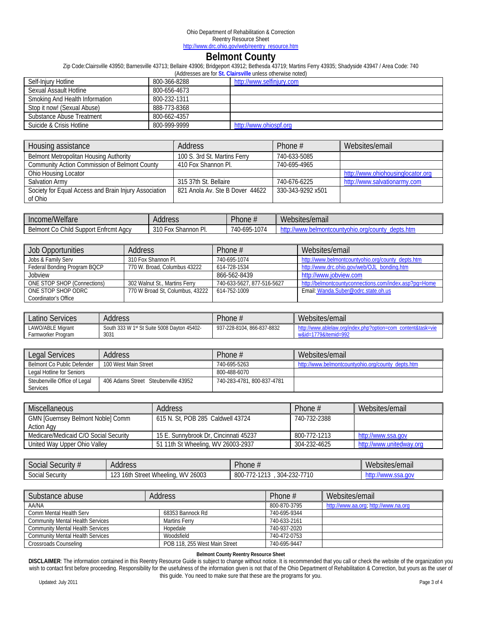## **Belmont County**

Zip Code:Clairsville 43950; Barnesville 43713; Bellaire 43906; Bridgeport 43912; Bethesda 43719; Martins Ferry 43935; Shadyside 43947 / Area Code: 740

| (Addresses are for St. Clairsville unless otherwise noted) |              |                           |  |
|------------------------------------------------------------|--------------|---------------------------|--|
| Self-Injury Hotline                                        | 800-366-8288 | http://www.selfinjury.com |  |
| Sexual Assault Hotline                                     | 800-656-4673 |                           |  |
| Smoking And Health Information                             | 800-232-1311 |                           |  |
| Stop it now! (Sexual Abuse)                                | 888-773-8368 |                           |  |
| Substance Abuse Treatment                                  | 800-662-4357 |                           |  |
| Suicide & Crisis Hotline                                   | 800-999-9999 | http://www.ohiospf.org    |  |

| Housing assistance                                    | <b>Address</b>                  | Phone $#$         | Websites/email                    |
|-------------------------------------------------------|---------------------------------|-------------------|-----------------------------------|
| <b>Belmont Metropolitan Housing Authority</b>         | 100 S. 3rd St. Martins Ferry    | 740-633-5085      |                                   |
| <b>Community Action Commission of Belmont County</b>  | 410 Fox Shannon Pl.             | 740-695-4965      |                                   |
| Ohio Housing Locator                                  |                                 |                   | http://www.ohiohousinglocator.org |
| Salvation Army                                        | 315 37th St. Bellaire           | 740-676-6225      | http://www.salvationarmy.com      |
| Society for Equal Access and Brain Injury Association | 821 Anola Av. Ste B Dover 44622 | 330-343-9292 x501 |                                   |
| of Ohio                                               |                                 |                   |                                   |

| Income/Welfare                  | Address     | $Phi$ hone $\pi$ | Websites/email |
|---------------------------------|-------------|------------------|----------------|
| . Co Child Support Enfrcmt Agcy | 310 Fox     | 5-1074           | .htm           |
| Belmont                         | Shannon Pl. | 740-695          | gebis.         |

| Job Opportunities            | Address                         | Phone $#$                  | Websites/email                                        |
|------------------------------|---------------------------------|----------------------------|-------------------------------------------------------|
| Jobs & Family Serv           | 310 Fox Shannon Pl.             | 740-695-1074               | http://www.belmontcountyohio.org/county_depts.htm     |
| Federal Bonding Program BQCP | 770 W. Broad, Columbus 43222    | 614-728-1534               | http://www.drc.ohio.gov/web/OJL_bonding.htm           |
| Jobview                      |                                 | 866-562-8439               | http://www.jobview.com                                |
| ONE STOP SHOP (Connections)  | 302 Walnut St., Martins Ferry   | 740-633-5627, 877-516-5627 | http://belmontcountyconnections.com/index.asp?pq=Home |
| ONE STOP SHOP ODRC           | 770 W Broad St. Columbus, 43222 | 614-752-1009               | Email: Wanda.Suber@odrc.state.oh.us                   |
| Coordinator's Office         |                                 |                            |                                                       |

| Latino s<br>Services | Address                                     | $P$ hone $\overline{h}$ | Websites/email                |
|----------------------|---------------------------------------------|-------------------------|-------------------------------|
| LAWO/ABLE Migrant    | South 333 W 1st St Suite 5008 Dayton 45402- | 866-837-8832            | .com                          |
| Farmworker Program   | 303 <sup>2</sup>                            | 937-228-8104.           | $-1779$ &Itemid=99 $^{\circ}$ |

| Legal Services               | Address                             | Phone $#$                  | Websites/email                                    |
|------------------------------|-------------------------------------|----------------------------|---------------------------------------------------|
| Belmont Co Public Defender   | 100 West Main Street                | 740-695-5263               | http://www.belmontcountyohio.org/county_depts.htm |
| Legal Hotline for Seniors    |                                     | 800-488-6070               |                                                   |
| Steubenville Office of Legal | 406 Adams Street Steubenville 43952 | 740-283-4781, 800-837-4781 |                                                   |
| <b>Services</b>              |                                     |                            |                                                   |

| <b>Miscellaneous</b>                     | Address                               | Phone #      | Websites/email           |
|------------------------------------------|---------------------------------------|--------------|--------------------------|
| <b>GMN [Guernsey Belmont Noble] Comm</b> | 615 N. St, POB 285 Caldwell 43724     | 740-732-2388 |                          |
| <b>Action Agy</b>                        |                                       |              |                          |
| Medicare/Medicaid C/O Social Security    | 15 E. Sunnybrook Dr. Cincinnati 45237 | 800-772-1213 | http://www.ssa.gov       |
| United Way Upper Ohio Valley             | 51 11th St Wheeling, WV 26003-2937    | 304-232-4625 | http://www.unitedway.org |

| $\cdots$<br>$\sim$ becurity $#$<br>50CIAL: | Address                                                                                 | Phone                                                                                    | Websites/email  |
|--------------------------------------------|-----------------------------------------------------------------------------------------|------------------------------------------------------------------------------------------|-----------------|
| $\sim$<br>Social Security                  | / 26003<br>100<br>$\sim$ .<br>$16th$ .<br>Wheeling.<br>street i<br>WV <sub>V</sub><br>້ | 0 <sub>0</sub><br>7710<br>770<br>$304 -$<br>1011<br>າາາ<br>ovu<br>-2021<br>ା⊍<br>JU<br>∸ | nov<br>.sSd<br> |

| Substance abuse                         | Address                       | Phone #      | Websites/email                       |
|-----------------------------------------|-------------------------------|--------------|--------------------------------------|
| AA/NA                                   |                               | 800-870-3795 | http://www.aa.org; http://www.na.org |
| Comm Mental Health Serv                 | 68353 Bannock Rd              | 740-695-9344 |                                      |
| <b>Community Mental Health Services</b> | <b>Martins Ferry</b>          | 740-633-2161 |                                      |
| Community Mental Health Services        | Hopedale                      | 740-937-2020 |                                      |
| Community Mental Health Services        | Woodsfield                    | 740-472-0753 |                                      |
| Crossroads Counseling                   | POB 118, 255 West Main Street | 740-695-9447 |                                      |

#### **Belmont County Reentry Resource Sheet**

**DISCLAIMER**: The information contained in this Reentry Resource Guide is subject to change without notice. It is recommended that you call or check the website of the organization you wish to contact first before proceeding. Responsibility for the usefulness of the information given is not that of the Ohio Department of Rehabilitation & Correction, but yours as the user of this guide. You need to make sure that these are the programs for you.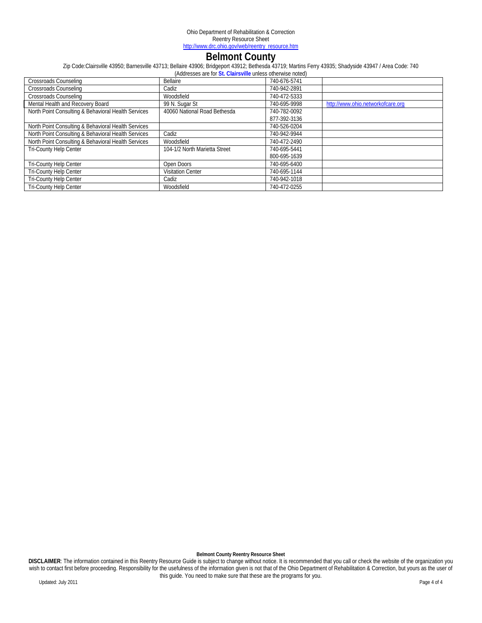## **Belmont County**

Zip Code:Clairsville 43950; Barnesville 43713; Bellaire 43906; Bridgeport 43912; Bethesda 43719; Martins Ferry 43935; Shadyside 43947 / Area Code: 740

| (Addresses are for St. Clairsville unless otherwise noted) |                               |              |                                   |  |
|------------------------------------------------------------|-------------------------------|--------------|-----------------------------------|--|
| Crossroads Counseling                                      | Bellaire                      | 740-676-5741 |                                   |  |
| <b>Crossroads Counseling</b>                               | Cadiz                         | 740-942-2891 |                                   |  |
| <b>Crossroads Counseling</b>                               | Woodsfield                    | 740-472-5333 |                                   |  |
| Mental Health and Recovery Board                           | 99 N. Sugar St                | 740-695-9998 | http://www.ohio.networkofcare.org |  |
| North Point Consulting & Behavioral Health Services        | 40060 National Road Bethesda  | 740-782-0092 |                                   |  |
|                                                            |                               | 877-392-3136 |                                   |  |
| North Point Consulting & Behavioral Health Services        |                               | 740-526-0204 |                                   |  |
| North Point Consulting & Behavioral Health Services        | Cadiz                         | 740-942-9944 |                                   |  |
| North Point Consulting & Behavioral Health Services        | Woodsfield                    | 740-472-2490 |                                   |  |
| Tri-County Help Center                                     | 104-1/2 North Marietta Street | 740-695-5441 |                                   |  |
|                                                            |                               | 800-695-1639 |                                   |  |
| <b>Tri-County Help Center</b>                              | Open Doors                    | 740-695-6400 |                                   |  |
| <b>Tri-County Help Center</b>                              | <b>Visitation Center</b>      | 740-695-1144 |                                   |  |
| Tri-County Help Center                                     | Cadiz                         | 740-942-1018 |                                   |  |
| Tri-County Help Center                                     | Woodsfield                    | 740-472-0255 |                                   |  |

**Belmont County Reentry Resource Sheet** 

**DISCLAIMER**: The information contained in this Reentry Resource Guide is subject to change without notice. It is recommended that you call or check the website of the organization you wish to contact first before proceeding. Responsibility for the usefulness of the information given is not that of the Ohio Department of Rehabilitation & Correction, but yours as the user of this guide. You need to make sure that these are the programs for you.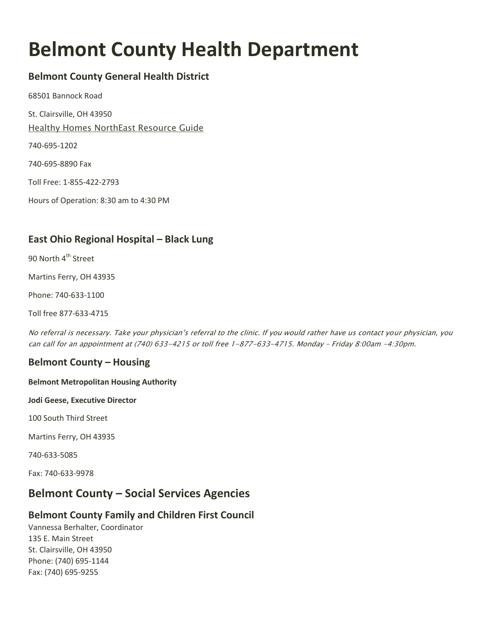# **Belmont County Health Department**

# **Belmont County General Health District**

68501 Bannock Road

St. Clairsville, OH 43950

[Healthy Homes NorthEast Resource Guide](http://www.healthyhomesnersp.org/explore/explore-2/healthy-homes-northeast-resource-guide)

740-695-1202

740-695-8890 Fax

Toll Free: 1-855-422-2793

Hours of Operation: 8:30 am to 4:30 PM

# **East Ohio Regional Hospital – Black Lung**

90 North 4<sup>th</sup> Street

Martins Ferry, OH 43935

Phone: 740-633-1100

Toll free 877-633-4715

No referral is necessary. Take your physician's referral to the clinic. If you would rather have us contact your physician, you can call for an appointment at (740) 633-4215 or toll free 1-877-633-4715. Monday – Friday 8:00am -4:30pm.

## **Belmont County – Housing**

### **Belmont Metropolitan Housing Authority**

**Jodi Geese, Executive Director**

100 South Third Street

Martins Ferry, OH 43935

740-633-5085

Fax: 740-633-9978

# **Belmont County – Social Services Agencies**

## **Belmont County Family and Children First Council**

Vannessa Berhalter, Coordinator 135 E. Main Street St. Clairsville, OH 43950 Phone: (740) 695-1144 Fax: (740) 695-9255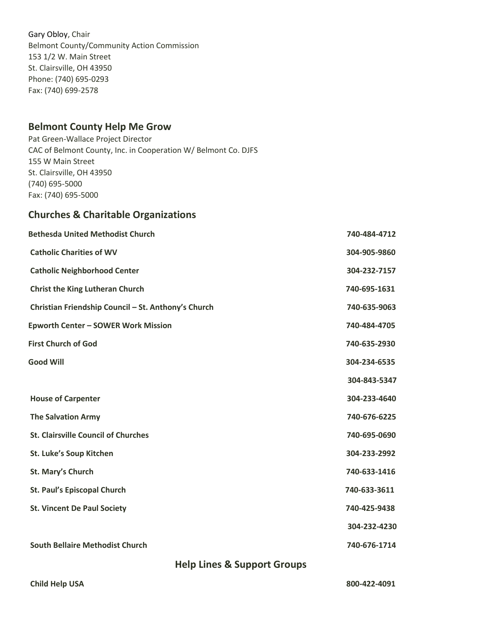Gary Obloy, Chair Belmont County/Community Action Commission 153 1/2 W. Main Street St. Clairsville, OH 43950 Phone: (740) 695-0293 Fax: (740) 699-2578

## **Belmont County Help Me Grow**

Pat Green-Wallace Project Director CAC of Belmont County, Inc. in Cooperation W/ Belmont Co. DJFS 155 W Main Street St. Clairsville, OH 43950 (740) 695-5000 Fax: (740) 695-5000

## **Churches & Charitable Organizations**

| <b>Bethesda United Methodist Church</b>             | 740-484-4712 |
|-----------------------------------------------------|--------------|
| <b>Catholic Charities of WV</b>                     | 304-905-9860 |
| <b>Catholic Neighborhood Center</b>                 | 304-232-7157 |
| <b>Christ the King Lutheran Church</b>              | 740-695-1631 |
| Christian Friendship Council - St. Anthony's Church | 740-635-9063 |
| <b>Epworth Center - SOWER Work Mission</b>          | 740-484-4705 |
| <b>First Church of God</b>                          | 740-635-2930 |
| <b>Good Will</b>                                    | 304-234-6535 |
|                                                     | 304-843-5347 |
| <b>House of Carpenter</b>                           | 304-233-4640 |
| <b>The Salvation Army</b>                           | 740-676-6225 |
| <b>St. Clairsville Council of Churches</b>          | 740-695-0690 |
| St. Luke's Soup Kitchen                             | 304-233-2992 |
| St. Mary's Church                                   | 740-633-1416 |
| <b>St. Paul's Episcopal Church</b>                  | 740-633-3611 |
| <b>St. Vincent De Paul Society</b>                  | 740-425-9438 |
|                                                     | 304-232-4230 |
| <b>South Bellaire Methodist Church</b>              | 740-676-1714 |

**Help Lines & Support Groups**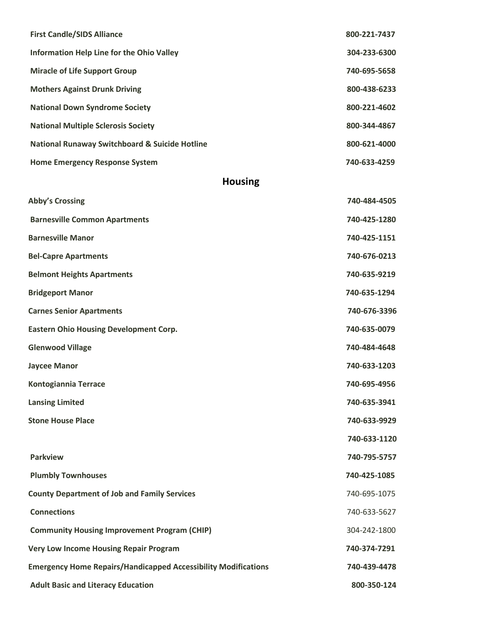| <b>First Candle/SIDS Alliance</b>                         | 800-221-7437 |
|-----------------------------------------------------------|--------------|
| Information Help Line for the Ohio Valley                 | 304-233-6300 |
| <b>Miracle of Life Support Group</b>                      | 740-695-5658 |
| <b>Mothers Against Drunk Driving</b>                      | 800-438-6233 |
| <b>National Down Syndrome Society</b>                     | 800-221-4602 |
| <b>National Multiple Sclerosis Society</b>                | 800-344-4867 |
| <b>National Runaway Switchboard &amp; Suicide Hotline</b> | 800-621-4000 |
| <b>Home Emergency Response System</b>                     | 740-633-4259 |

# **Housing**

| <b>Abby's Crossing</b>                                                | 740-484-4505 |
|-----------------------------------------------------------------------|--------------|
| <b>Barnesville Common Apartments</b>                                  | 740-425-1280 |
| <b>Barnesville Manor</b>                                              | 740-425-1151 |
| <b>Bel-Capre Apartments</b>                                           | 740-676-0213 |
| <b>Belmont Heights Apartments</b>                                     | 740-635-9219 |
| <b>Bridgeport Manor</b>                                               | 740-635-1294 |
| <b>Carnes Senior Apartments</b>                                       | 740-676-3396 |
| <b>Eastern Ohio Housing Development Corp.</b>                         | 740-635-0079 |
| <b>Glenwood Village</b>                                               | 740-484-4648 |
| <b>Jaycee Manor</b>                                                   | 740-633-1203 |
| <b>Kontogiannia Terrace</b>                                           | 740-695-4956 |
| <b>Lansing Limited</b>                                                | 740-635-3941 |
| <b>Stone House Place</b>                                              | 740-633-9929 |
|                                                                       | 740-633-1120 |
| <b>Parkview</b>                                                       | 740-795-5757 |
| <b>Plumbly Townhouses</b>                                             | 740-425-1085 |
| <b>County Department of Job and Family Services</b>                   | 740-695-1075 |
| <b>Connections</b>                                                    | 740-633-5627 |
| <b>Community Housing Improvement Program (CHIP)</b>                   | 304-242-1800 |
| <b>Very Low Income Housing Repair Program</b>                         | 740-374-7291 |
| <b>Emergency Home Repairs/Handicapped Accessibility Modifications</b> | 740-439-4478 |
| <b>Adult Basic and Literacy Education</b>                             | 800-350-124  |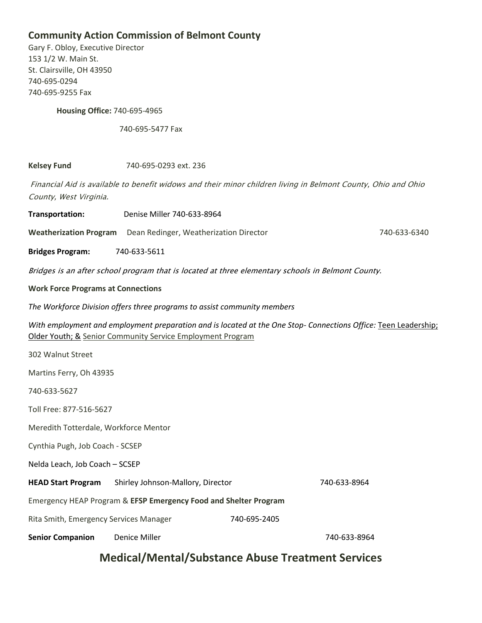## **Community Action Commission of Belmont County**

Gary F. Obloy, Executive Director 153 1/2 W. Main St. St. Clairsville, OH 43950 740-695-0294 740-695-9255 Fax

**Housing Office:** 740-695-4965

740-695-5477 Fax

**Kelsey Fund** 740-695-0293 ext. 236

Financial Aid is available to benefit widows and their minor children living in Belmont County, Ohio and Ohio County, West Virginia.

**Transportation:** Denise Miller 740-633-8964

**Weatherization Program** Dean Redinger, Weatherization Director 740-633-6340

**Bridges Program:** 740-633-5611

Bridges is an after school program that is located at three elementary schools in Belmont County.

**Work Force Programs at Connections**

*The Workforce Division offers three programs to assist community members*

*With employment and employment preparation and is located at the One Stop- Connections Office:* Teen Leadership; Older Youth; & Senior Community Service Employment Program

| 302 Walnut Street                                                |                                   |              |              |
|------------------------------------------------------------------|-----------------------------------|--------------|--------------|
| Martins Ferry, Oh 43935                                          |                                   |              |              |
| 740-633-5627                                                     |                                   |              |              |
| Toll Free: 877-516-5627                                          |                                   |              |              |
| Meredith Totterdale, Workforce Mentor                            |                                   |              |              |
| Cynthia Pugh, Job Coach - SCSEP                                  |                                   |              |              |
| Nelda Leach, Job Coach - SCSEP                                   |                                   |              |              |
| <b>HEAD Start Program</b>                                        | Shirley Johnson-Mallory, Director |              | 740-633-8964 |
| Emergency HEAP Program & EFSP Emergency Food and Shelter Program |                                   |              |              |
| Rita Smith, Emergency Services Manager                           |                                   | 740-695-2405 |              |
| <b>Senior Companion</b>                                          | Denice Miller                     |              | 740-633-8964 |

# **Medical/Mental/Substance Abuse Treatment Services**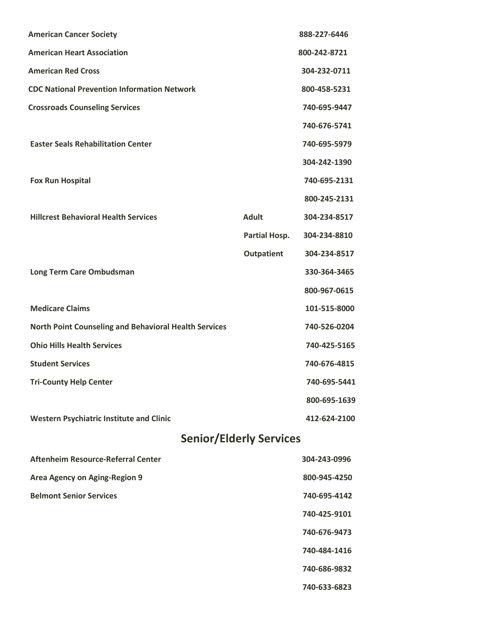| <b>American Cancer Society</b>                               |                      | 888-227-6446 |
|--------------------------------------------------------------|----------------------|--------------|
| <b>American Heart Association</b>                            |                      | 800-242-8721 |
| <b>American Red Cross</b>                                    |                      | 304-232-0711 |
| <b>CDC National Prevention Information Network</b>           |                      | 800-458-5231 |
| <b>Crossroads Counseling Services</b>                        |                      | 740-695-9447 |
|                                                              |                      | 740-676-5741 |
| <b>Easter Seals Rehabilitation Center</b>                    |                      | 740-695-5979 |
|                                                              |                      | 304-242-1390 |
| <b>Fox Run Hospital</b>                                      |                      | 740-695-2131 |
|                                                              |                      | 800-245-2131 |
| <b>Hillcrest Behavioral Health Services</b>                  | <b>Adult</b>         | 304-234-8517 |
|                                                              | <b>Partial Hosp.</b> | 304-234-8810 |
|                                                              | Outpatient           | 304-234-8517 |
| Long Term Care Ombudsman                                     |                      | 330-364-3465 |
|                                                              |                      | 800-967-0615 |
| <b>Medicare Claims</b>                                       |                      | 101-515-8000 |
| <b>North Point Counseling and Behavioral Health Services</b> |                      | 740-526-0204 |
| <b>Ohio Hills Health Services</b>                            |                      | 740-425-5165 |
| <b>Student Services</b>                                      |                      | 740-676-4815 |
| <b>Tri-County Help Center</b>                                |                      | 740-695-5441 |
|                                                              |                      | 800-695-1639 |
| <b>Western Psychiatric Institute and Clinic</b>              |                      | 412-624-2100 |
| <b>Senior/Elderly Services</b>                               |                      |              |
| Aftenheim Resource-Referral Center                           |                      | 304-243-0996 |
| Area Agency on Aging-Region 9                                | 800-945-4250         |              |
| <b>Belmont Senior Services</b>                               |                      | 740-695-4142 |
|                                                              |                      | 740-425-9101 |
|                                                              |                      | 740-676-9473 |
|                                                              |                      | 740-484-1416 |
|                                                              |                      | 740-686-9832 |
|                                                              |                      | 740-633-6823 |